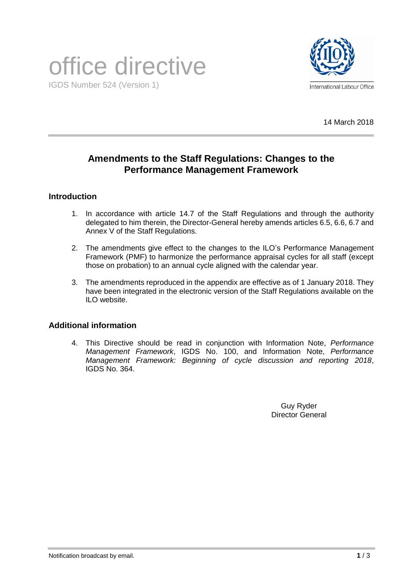# office directive IGDS Number 524 (Version 1)



14 March 2018

# **Amendments to the Staff Regulations: Changes to the Performance Management Framework**

# **Introduction**

- 1. In accordance with article 14.7 of the Staff Regulations and through the authority delegated to him therein, the Director-General hereby amends articles 6.5, 6.6, 6.7 and Annex V of the Staff Regulations.
- 2. The amendments give effect to the changes to the ILO's Performance Management Framework (PMF) to harmonize the performance appraisal cycles for all staff (except those on probation) to an annual cycle aligned with the calendar year.
- 3. The amendments reproduced in the appendix are effective as of 1 January 2018. They have been integrated in the electronic version of the Staff Regulations available on the ILO website.

# **Additional information**

4. This Directive should be read in conjunction with Information Note, *Performance Management Framework*, IGDS No. 100, and Information Note, *Performance Management Framework: Beginning of cycle discussion and reporting 2018*, IGDS No. 364.

> Guy Ryder Director General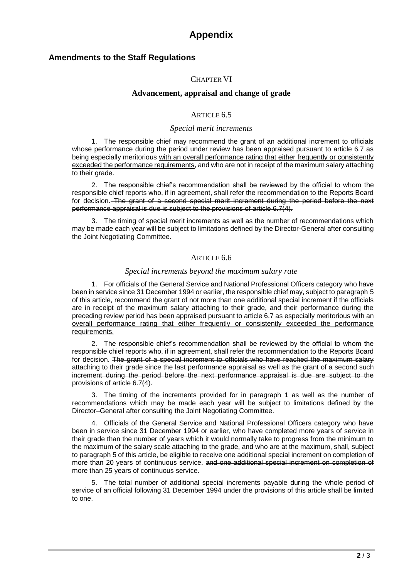# **Appendix**

# **Amendments to the Staff Regulations**

## CHAPTER VI

## **Advancement, appraisal and change of grade**

## ARTICLE 6.5

### *Special merit increments*

1. The responsible chief may recommend the grant of an additional increment to officials whose performance during the period under review has been appraised pursuant to article 6.7 as being especially meritorious with an overall performance rating that either frequently or consistently exceeded the performance requirements, and who are not in receipt of the maximum salary attaching to their grade.

2. The responsible chief's recommendation shall be reviewed by the official to whom the responsible chief reports who, if in agreement, shall refer the recommendation to the Reports Board for decision. The grant of a second special merit increment during the period before the next performance appraisal is due is subject to the provisions of article 6.7(4).

3. The timing of special merit increments as well as the number of recommendations which may be made each year will be subject to limitations defined by the Director-General after consulting the Joint Negotiating Committee.

#### ARTICLE 6.6

#### *Special increments beyond the maximum salary rate*

1. For officials of the General Service and National Professional Officers category who have been in service since 31 December 1994 or earlier, the responsible chief may, subject to paragraph 5 of this article, recommend the grant of not more than one additional special increment if the officials are in receipt of the maximum salary attaching to their grade, and their performance during the preceding review period has been appraised pursuant to article 6.7 as especially meritorious with an overall performance rating that either frequently or consistently exceeded the performance requirements.

2. The responsible chief's recommendation shall be reviewed by the official to whom the responsible chief reports who, if in agreement, shall refer the recommendation to the Reports Board for decision. The grant of a special increment to officials who have reached the maximum salary attaching to their grade since the last performance appraisal as well as the grant of a second such increment during the period before the next performance appraisal is due are subject to the provisions of article 6.7(4).

3. The timing of the increments provided for in paragraph 1 as well as the number of recommendations which may be made each year will be subject to limitations defined by the Director–General after consulting the Joint Negotiating Committee.

4. Officials of the General Service and National Professional Officers category who have been in service since 31 December 1994 or earlier, who have completed more years of service in their grade than the number of years which it would normally take to progress from the minimum to the maximum of the salary scale attaching to the grade, and who are at the maximum, shall, subject to paragraph 5 of this article, be eligible to receive one additional special increment on completion of more than 20 years of continuous service. and one additional special increment on completion of more than 25 years of continuous service.

5. The total number of additional special increments payable during the whole period of service of an official following 31 December 1994 under the provisions of this article shall be limited to one.